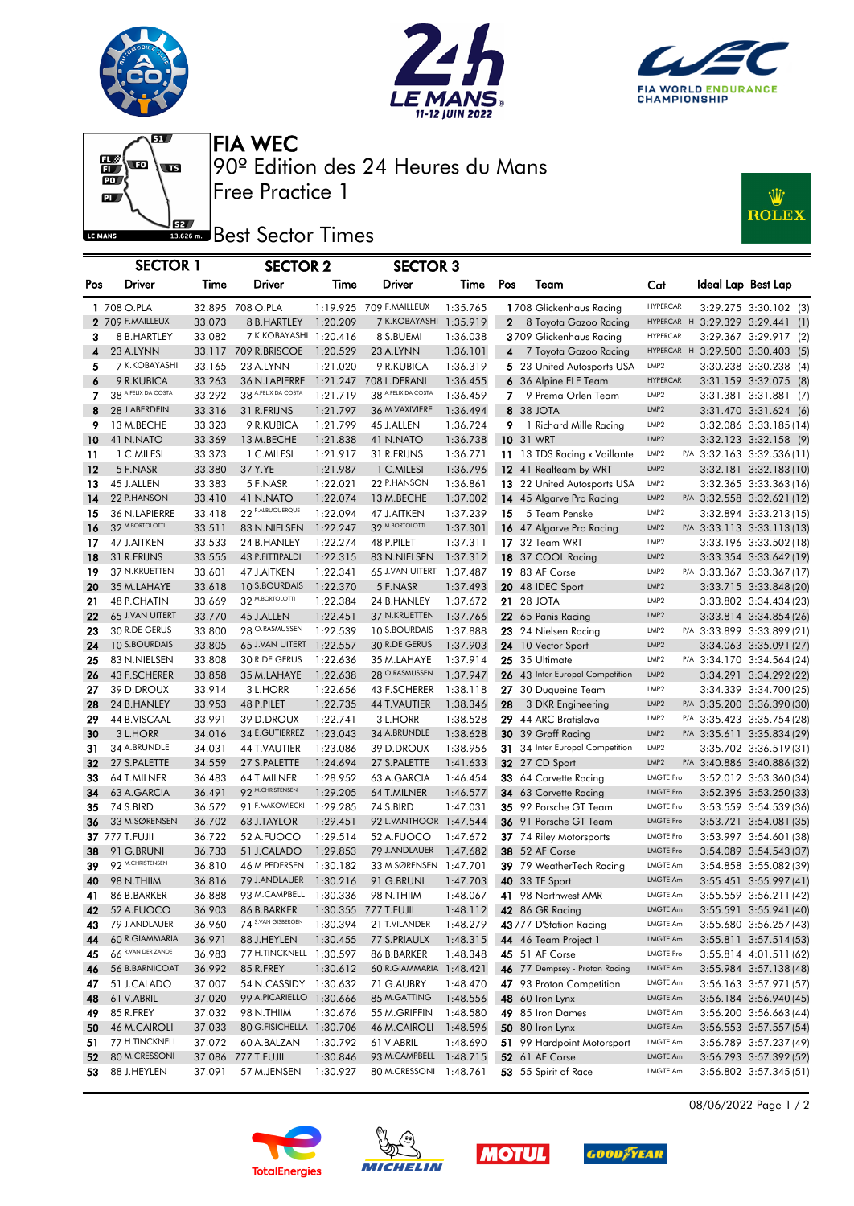







Free Practice 1 90º Edition des 24 Heures du Mans FIA WEC

## **J**<br>13.626m. Best Sector Times

| ii,<br><b>ROLEX</b> |
|---------------------|
|---------------------|

| <b>DESI ACCIÓL TILITES</b> |                            |                  |                                 |                      |                          |          |              |                                                |                        |                    |                                                  |
|----------------------------|----------------------------|------------------|---------------------------------|----------------------|--------------------------|----------|--------------|------------------------------------------------|------------------------|--------------------|--------------------------------------------------|
|                            | <b>SECTOR 1</b>            |                  | <b>SECTOR 2</b>                 |                      | <b>SECTOR 3</b>          |          |              |                                                |                        |                    |                                                  |
| Pos                        | <b>Driver</b>              | Time             | <b>Driver</b>                   | Time                 | Driver                   | Time     | Pos          | Team                                           | Cat                    | Ideal Lap Best Lap |                                                  |
|                            | 1 708 O.PLA                |                  | 32.895 708 O.PLA                |                      | 1:19.925 709 F.MAILLEUX  | 1:35.765 |              | 1708 Glickenhaus Racing                        | <b>HYPERCAR</b>        |                    | 3:29.275 3:30.102 (3)                            |
|                            | 2 709 F.MAILLEUX           | 33.073           | 8 B.HARTLEY                     | 1:20.209             | 7 K.KOBAYASHI 1:35.919   |          | $\mathbf{2}$ | 8 Toyota Gazoo Racing                          |                        |                    | HYPERCAR H 3:29.329 3:29.441 (1)                 |
| 3                          | 8 B.HARTLEY                | 33.082           | 7 K.KOBAYASHI 1:20.416          |                      | 8 S.BUEMI                | 1:36.038 |              | 3709 Glickenhaus Racing                        | <b>HYPERCAR</b>        |                    | 3:29.367 3:29.917 (2)                            |
| 4                          | 23 A.LYNN                  |                  | 33.117 709 R.BRISCOE            | 1:20.529             | 23 A.LYNN                | 1:36.101 | 4            | 7 Toyota Gazoo Racing                          |                        |                    | HYPERCAR H 3:29.500 3:30.403 (5)                 |
| 5                          | 7 K.KOBAYASHI              | 33.165           | 23 A.LYNN                       | 1:21.020             | 9 R.KUBICA               | 1:36.319 |              | 5 23 United Autosports USA                     | LMP <sub>2</sub>       |                    | 3:30.238 3:30.238 (4)                            |
| 6                          | 9 R.KUBICA                 | 33.263           | 36 N.LAPIERRE                   | 1:21.247             | 708 L.DERANI             | 1:36.455 |              | 6 36 Alpine ELF Team                           | <b>HYPERCAR</b>        |                    | 3:31.159 3:32.075 (8)                            |
| 7                          | 38 A.FELIX DA COSTA        | 33.292           | 38 A.FELIX DA COSTA             | 1:21.719             | 38 A.FELIX DA COSTA      | 1:36.459 | 7.           | 9 Prema Orlen Team                             | LMP <sub>2</sub>       |                    | 3:31.381 3:31.881 (7)                            |
| 8                          | 28 J.ABERDEIN              | 33.316           | 31 R.FRIJNS                     | 1:21.797             | 36 M. VAXIVIERE          | 1:36.494 |              | 8 38 JOTA                                      | LMP <sub>2</sub>       |                    | 3:31.470 3:31.624 (6)                            |
| 9                          | 13 M.BECHE                 | 33.323           | 9 R.KUBICA                      | 1:21.799             | 45 J.ALLEN               | 1:36.724 | 9            | 1 Richard Mille Racing                         | LMP <sub>2</sub>       |                    | 3:32.086 3:33.185 (14)                           |
| 10                         | 41 N.NATO                  | 33.369           | 13 M.BECHE                      | 1:21.838             | 41 N.NATO                | 1:36.738 |              | 10 31 WRT                                      | LMP <sub>2</sub>       |                    | 3:32.123 3:32.158 (9)                            |
| 11                         | 1 C.MILESI                 | 33.373           | 1 C.MILESI                      | 1:21.917             | 31 R.FRIJNS              | 1:36.771 |              | 11 13 TDS Racing x Vaillante                   | LMP2                   |                    | P/A 3:32.163 3:32.536 (11)                       |
| 12                         | 5 F.NASR                   | 33.380           | 37 Y.YE                         | 1:21.987             | 1 C.MILESI               | 1:36.796 |              | 12 41 Realteam by WRT                          | LMP <sub>2</sub>       |                    | 3:32.181 3:32.183 (10)                           |
| 13                         | 45 J.ALLEN                 | 33.383           | 5 F.NASR                        | 1:22.021             | 22 P.HANSON              | 1:36.861 |              | 13 22 United Autosports USA                    | LMP2                   |                    | 3:32.365 3:33.363 (16)                           |
| 14                         | 22 P.HANSON                | 33.410           | 41 N.NATO                       | 1:22.074             | 13 M.BECHE               | 1:37.002 |              | 14 45 Algarve Pro Racing                       | LMP <sub>2</sub>       |                    | P/A 3:32.558 3:32.621 (12)                       |
| 15                         | 36 N.LAPIERRE              | 33.418           | 22 F.ALBUQUERQUE                | 1:22.094             | 47 J.AITKEN              | 1:37.239 | 15           | 5 Team Penske                                  | LMP <sub>2</sub>       |                    | 3:32.894 3:33.213 (15)                           |
| 16                         | 32 M.BORTOLOTTI            | 33.511           | 83 N.NIELSEN                    | 1:22.247             | 32 M.BORTOLOTTI          | 1:37.301 |              | 16 47 Algarve Pro Racing                       | LMP <sub>2</sub>       |                    | P/A 3:33.113 3:33.113 (13)                       |
| 17                         | 47 J.AITKEN                | 33.533           | 24 B.HANLEY                     | 1:22.274             | 48 P.PILET               | 1:37.311 |              | 17 32 Team WRT                                 | LMP <sub>2</sub>       |                    | 3:33.196 3:33.502 (18)                           |
| 18                         | 31 R.FRIJNS                | 33.555           | 43 P.FITTIPALDI                 | 1:22.315             | 83 N.NIELSEN             | 1:37.312 |              | 18 37 COOL Racina                              | LMP <sub>2</sub>       |                    | 3:33.354 3:33.642 (19)                           |
| 19                         | 37 N.KRUETTEN              | 33.601           | 47 J.AITKEN                     | 1:22.341             | 65 J.VAN UITERT 1:37.487 |          |              | 19 83 AF Corse                                 | LMP2                   |                    | P/A 3:33.367 3:33.367 (17)                       |
| 20                         | 35 M.LAHAYE                | 33.618           | 10 S.BOURDAIS                   | 1:22.370             | 5 F.NASR                 | 1:37.493 |              | 20 48 IDEC Sport                               | LMP <sub>2</sub>       |                    | 3:33.715 3:33.848 (20)                           |
| 21                         | 48 P.CHATIN                | 33.669           | 32 M.BORTOLOTTI                 | 1:22.384             | 24 B.HANLEY              | 1:37.672 |              | <b>21 28 JOTA</b>                              | LMP2                   |                    | 3:33.802 3:34.434 (23)                           |
| 22                         | 65 J.VAN UITERT            | 33.770           | 45 J.ALLEN                      | 1:22.451             | 37 N.KRUETTEN            | 1:37.766 |              | 22 65 Panis Racing                             | LMP <sub>2</sub>       |                    | 3:33.814 3:34.854 (26)                           |
| 23                         | 30 R.DE GERUS              | 33.800           | 28 O.RASMUSSEN                  | 1:22.539             | 10 S.BOURDAIS            | 1:37.888 |              | 23 24 Nielsen Racing                           | LMP <sub>2</sub>       |                    | P/A 3:33.899 3:33.899 (21)                       |
| 24                         | 10 S.BOURDAIS              | 33.805           | 65 J.VAN UITERT                 | 1:22.557             | 30 R.DE GERUS            | 1:37.903 |              | 24 10 Vector Sport                             | LMP <sub>2</sub>       |                    | 3:34.063 3:35.091 (27)                           |
| 25                         | 83 N.NIELSEN               | 33,808           | 30 R.DE GERUS                   | 1:22.636             | 35 M.LAHAYE              | 1:37.914 |              | 25 35 Ultimate                                 | LMP <sub>2</sub>       |                    | P/A 3:34.170 3:34.564 (24)                       |
| 26                         | 43 F.SCHERER               | 33.858           | 35 M.LAHAYE                     | 1:22.638             | 28 O.RASMUSSEN           | 1:37.947 |              | 26 43 Inter Europol Competition                | LMP <sub>2</sub>       |                    | 3:34.291 3:34.292 (22)                           |
| 27                         | 39 D.DROUX                 | 33.914           | 3 L.HORR                        | 1:22.656             | 43 F.SCHERER             | 1:38.118 |              | 27 30 Duqueine Team                            | LMP <sub>2</sub>       |                    | 3:34.339 3:34.700 (25)                           |
| 28                         | 24 B.HANLEY                | 33.953           | 48 P.PILET                      | 1:22.735             | <b>44 T.VAUTIER</b>      | 1:38.346 | 28           | 3 DKR Engineering                              | LMP <sub>2</sub>       |                    | P/A 3:35.200 3:36.390 (30)                       |
| 29                         | 44 B.VISCAAL               | 33.991           | 39 D.DROUX                      | 1:22.741             | 3 L.HORR                 | 1:38.528 |              | 29 44 ARC Bratislava                           | LMP <sub>2</sub>       |                    | P/A 3:35.423 3:35.754 (28)                       |
| 30                         | 3 L.HORR                   | 34.016           | 34 E.GUTIERREZ                  | 1:23.043             | 34 A.BRUNDLE             | 1:38.628 |              | 30 39 Graff Racing                             | LMP <sub>2</sub>       |                    | P/A 3:35.611 3:35.834 (29)                       |
| 31                         | 34 A.BRUNDLE               | 34.031           | 44 T.VAUTIER                    | 1:23.086             | 39 D.DROUX               | 1:38.956 |              | 31 34 Inter Europol Competition                | LMP <sub>2</sub>       |                    | 3:35.702 3:36.519 (31)                           |
| 32                         | 27 S.PALETTE               | 34.559           | 27 S.PALETTE                    | 1:24.694             | 27 S.PALETTE             | 1:41.633 |              | <b>32</b> 27 CD Sport                          | LMP <sub>2</sub>       |                    | P/A 3:40.886 3:40.886 (32)                       |
| 33                         | 64 T.MILNER                | 36.483           | 64 T.MILNER<br>92 M.CHRISTENSEN | 1:28.952             | 63 A.GARCIA              | 1:46.454 |              | 33 64 Corvette Racing                          | LMGTE Pro              |                    | 3:52.012 3:53.360 (34)                           |
| 34                         | 63 A.GARCIA                | 36.491           | 91 F.MAKOWIECKI                 | 1:29.205             | 64 T.MILNER<br>74 S.BIRD | 1:46.577 |              | 34 63 Corvette Racing                          | <b>LMGTE Pro</b>       |                    | 3:52.396 3:53.250 (33)                           |
| 35                         | 74 S.BIRD<br>33 M.SØRENSEN | 36.572           |                                 | 1:29.285             | 92 L.VANTHOOR 1:47.544   | 1:47.031 |              | 35 92 Porsche GT Team<br>36 91 Porsche GT Team | LMGTE Pro<br>LMGTE Pro |                    | 3:53.559 3:54.539 (36)                           |
| 36                         | 37 777 T.FUJII             | 36.702<br>36.722 | 63 J.TAYLOR<br>52 A.FUOCO       | 1:29.451<br>1:29.514 | 52 A.FUOCO               | 1:47.672 |              | 37 74 Riley Motorsports                        | <b>LMGTE Pro</b>       |                    | 3:53.721 3:54.081 (35)                           |
| 38                         | 91 G.BRUNI                 | 36.733           | 51 J.CALADO                     | 1:29.853             | 79 J.ANDLAUER            | 1:47.682 |              | <b>38</b> 52 AF Corse                          | <b>LMGTE Pro</b>       |                    | 3:53.997 3:54.601 (38)<br>3:54.089 3:54.543 (37) |
| 39                         | 92 M.CHRISTENSEN           | 36.810           | 46 M.PEDERSEN                   | 1:30.182             | 33 M.SØRENSEN 1:47.701   |          |              | 39 79 WeatherTech Racing                       | LMGTE Am               |                    | 3:54.858 3:55.082 (39)                           |
| 40                         | 98 N.THIIM                 | 36.816           | 79 J.ANDLAUER  1:30.216         |                      | 91 G.BRUNI               |          |              | 1:47.703 40 33 TF Sport                        | LMGTE Am               |                    | 3:55.451 3:55.997 (41)                           |
| 41                         | 86 B.BARKER                | 36.888           | 93 M.CAMPBELL 1:30.336          |                      | 98 N.THIIM               | 1:48.067 |              | 41 98 Northwest AMR                            | LMGTE Am               |                    | 3:55.559 3:56.211 (42)                           |
| 42                         | 52 A.FUOCO                 | 36.903           | 86 B.BARKER                     |                      | 1:30.355 777 T.FUJII     | 1:48.112 |              | 42 86 GR Racing                                | LMGTE Am               |                    | 3:55.591 3:55.941 (40)                           |
| 43                         | 79 J.ANDLAUER              | 36.960           | 74 S.VAN GISBERGEN              | 1:30.394             | 21 T.VILANDER            | 1:48.279 |              | 43777 D'Station Racing                         | LMGTE Am               |                    | 3:55.680 3:56.257 (43)                           |
| 44                         | 60 R.GIAMMARIA             | 36.971           | 88 J.HEYLEN                     | 1:30.455             | 77 S.PRIAULX             | 1:48.315 |              | 44 46 Team Project 1                           | LMGTE Am               |                    | 3:55.811 3:57.514 (53)                           |
| 45                         | 66 R.VAN DER ZANDE         | 36.983           | 77 H.TINCKNELL 1:30.597         |                      | 86 B.BARKER              | 1:48.348 |              | 45 51 AF Corse                                 | LMGTE Pro              |                    | 3:55.814 4:01.511 (62)                           |
| 46                         | 56 B.BARNICOAT             | 36.992           | 85 R.FREY                       | 1:30.612             | 60 R.GIAMMARIA 1:48.421  |          |              | 46 77 Dempsey - Proton Racing                  | LMGTE Am               |                    | 3:55.984 3:57.138 (48)                           |
| 47                         | 51 J.CALADO                | 37.007           | 54 N.CASSIDY                    | 1:30.632             | 71 G.AUBRY               | 1:48.470 |              | 47 93 Proton Competition                       | LMGTE Am               |                    | 3:56.163 3:57.971 (57)                           |
| 48                         | 61 V.ABRIL                 | 37.020           | 99 A.PICARIELLO 1:30.666        |                      | 85 M.GATTING             | 1:48.556 |              | 48 60 Iron Lynx                                | LMGTE Am               |                    | 3:56.184 3:56.940 (45)                           |
| 49                         | 85 R.FREY                  | 37.032           | 98 N.THIIM                      | 1:30.676             | 55 M.GRIFFIN             | 1:48.580 |              | 49 85 Iron Dames                               | LMGTE Am               |                    | 3:56.200 3:56.663 (44)                           |
| 50                         | 46 M.CAIROLI               | 37.033           | 80 G.FISICHELLA 1:30.706        |                      | 46 M.CAIROLI             | 1:48.596 |              | 50 80 Iron Lynx                                | LMGTE Am               |                    | 3:56.553 3:57.557 (54)                           |
| 51                         | 77 H.TINCKNELL             | 37.072           | 60 A.BALZAN                     | 1:30.792             | 61 V.ABRIL               | 1:48.690 |              | 51 99 Hardpoint Motorsport                     | LMGTE Am               |                    | 3:56.789 3:57.237 (49)                           |
| 52                         | 80 M.CRESSONI              |                  | 37.086 777 T.FUJII              | 1:30.846             | 93 M.CAMPBELL            | 1:48.715 |              | 52 61 AF Corse                                 | LMGTE Am               |                    | 3:56.793 3:57.392 (52)                           |
| 53                         | 88 J.HEYLEN                | 37.091           | 57 M.JENSEN                     | 1:30.927             | 80 M.CRESSONI            | 1:48.761 |              | 53 55 Spirit of Race                           | LMGTE Am               |                    | 3:56.802 3:57.345 (51)                           |
|                            |                            |                  |                                 |                      |                          |          |              |                                                |                        |                    |                                                  |









08/06/2022 Page 1 / 2